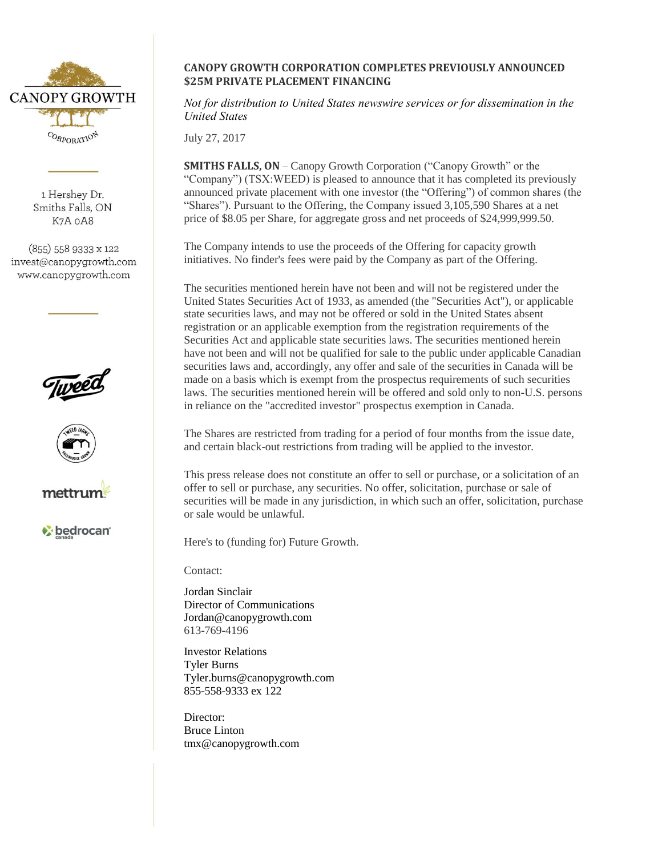

1 Hershev Dr. Smiths Falls, ON K7A oA8

 $(855)$  558 9333 x 122 invest@canopygrowth.com www.canopygrowth.com







**bedrocan** 

## **CANOPY GROWTH CORPORATION COMPLETES PREVIOUSLY ANNOUNCED \$25M PRIVATE PLACEMENT FINANCING**

*Not for distribution to United States newswire services or for dissemination in the United States*

July 27, 2017

**SMITHS FALLS, ON –** Canopy Growth Corporation ("Canopy Growth" or the "Company") (TSX:WEED) is pleased to announce that it has completed its previously announced private placement with one investor (the "Offering") of common shares (the "Shares"). Pursuant to the Offering, the Company issued 3,105,590 Shares at a net price of \$8.05 per Share, for aggregate gross and net proceeds of \$24,999,999.50.

The Company intends to use the proceeds of the Offering for capacity growth initiatives. No finder's fees were paid by the Company as part of the Offering.

The securities mentioned herein have not been and will not be registered under the United States Securities Act of 1933, as amended (the "Securities Act"), or applicable state securities laws, and may not be offered or sold in the United States absent registration or an applicable exemption from the registration requirements of the Securities Act and applicable state securities laws. The securities mentioned herein have not been and will not be qualified for sale to the public under applicable Canadian securities laws and, accordingly, any offer and sale of the securities in Canada will be made on a basis which is exempt from the prospectus requirements of such securities laws. The securities mentioned herein will be offered and sold only to non-U.S. persons in reliance on the "accredited investor" prospectus exemption in Canada.

The Shares are restricted from trading for a period of four months from the issue date, and certain black-out restrictions from trading will be applied to the investor.

This press release does not constitute an offer to sell or purchase, or a solicitation of an offer to sell or purchase, any securities. No offer, solicitation, purchase or sale of securities will be made in any jurisdiction, in which such an offer, solicitation, purchase or sale would be unlawful.

Here's to (funding for) Future Growth.

Contact:

Jordan Sinclair Director of Communications Jordan@canopygrowth.com 613-769-4196

Investor Relations Tyler Burns Tyler.burns@canopygrowth.com 855-558-9333 ex 122

Director: Bruce Linton tmx@canopygrowth.com